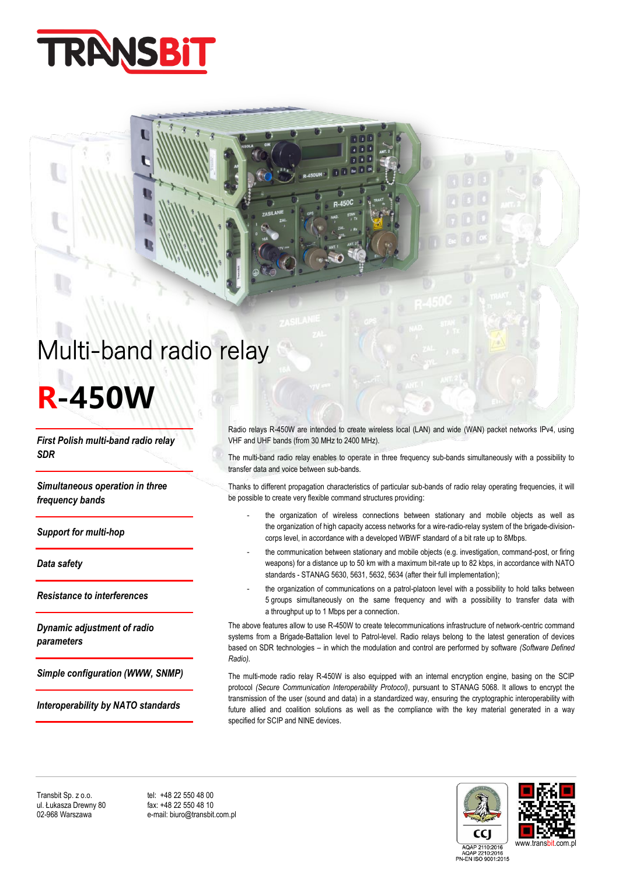

## Multi-band radio relay

# **R-450W**

*First Polish multi-band radio relay SDR*

*Simultaneous operation in three frequency bands* 

*Support for multi-hop* 

*Data safety* 

*Resistance to interferences*

*Dynamic adjustment of radio parameters* 

*Simple configuration (WWW, SNMP)*

*Interoperability by NATO standards*

Radio relays R-450W are intended to create wireless local (LAN) and wide (WAN) packet networks IPv4, using VHF and UHF bands (from 30 MHz to 2400 MHz).

 $\overline{a}$ 

The multi-band radio relay enables to operate in three frequency sub-bands simultaneously with a possibility to transfer data and voice between sub-bands.

Thanks to different propagation characteristics of particular sub-bands of radio relay operating frequencies, it will be possible to create very flexible command structures providing:

- the organization of wireless connections between stationary and mobile objects as well as the organization of high capacity access networks for a wire-radio-relay system of the brigade-divisioncorps level, in accordance with a developed WBWF standard of a bit rate up to 8Mbps.
- the communication between stationary and mobile objects (e.g. investigation, command-post, or firing weapons) for a distance up to 50 km with a maximum bit-rate up to 82 kbps, in accordance with NATO standards - STANAG 5630, 5631, 5632, 5634 (after their full implementation);
- the organization of communications on a patrol-platoon level with a possibility to hold talks between 5 groups simultaneously on the same frequency and with a possibility to transfer data with a throughput up to 1 Mbps per a connection.

The above features allow to use R-450W to create telecommunications infrastructure of network-centric command systems from a Brigade-Battalion level to Patrol-level. Radio relays belong to the latest generation of devices based on SDR technologies – in which the modulation and control are performed by software *(Software Defined Radio).*

The multi-mode radio relay R-450W is also equipped with an internal encryption engine, basing on the SCIP protocol *(Secure Communication Interoperability Protocol)*, pursuant to STANAG 5068. It allows to encrypt the transmission of the user (sound and data) in a standardized way, ensuring the cryptographic interoperability with future allied and coalition solutions as well as the compliance with the key material generated in a way specified for SCIP and NINE devices.

Transbit Sp. z o.o. tel: +48 22 550 48 00<br>
ul. Łukasza Drewny 80 fax: +48 22 550 48 10 ul. Łukasza Drewny 80<br>02-968 Warszawa

e-mail: biuro@transbit.com.pl